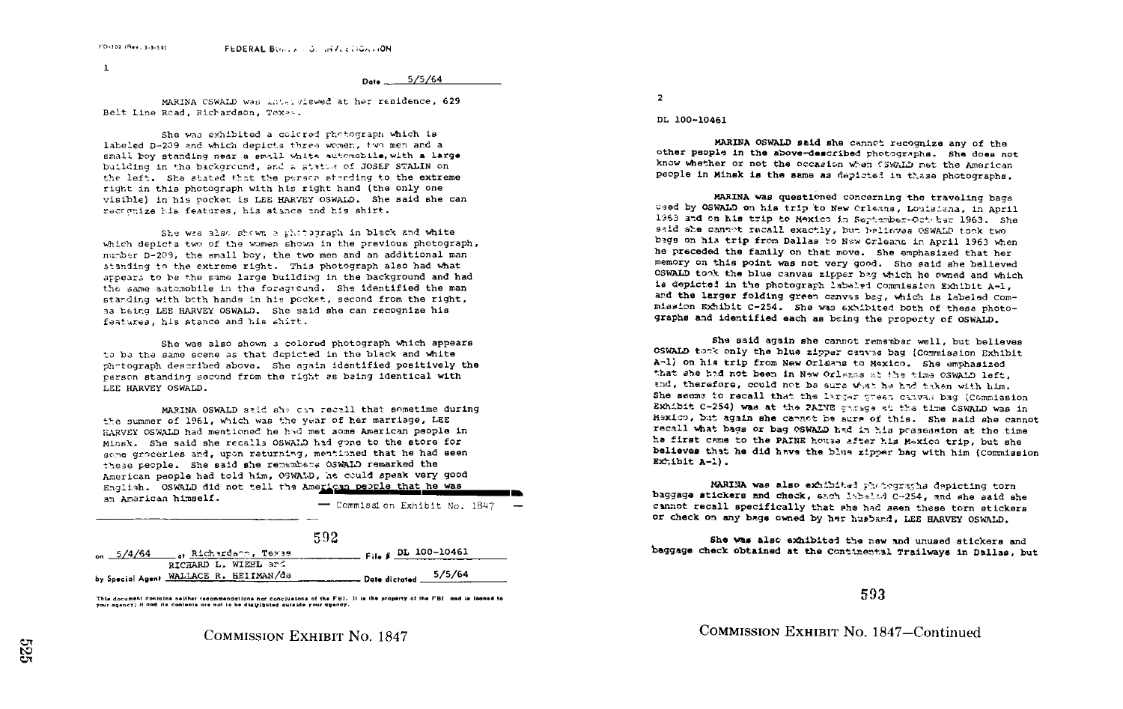$\mathbf{1}$ 

 $D_{\text{obs}}$  5/5/64

MARINA CSWALD was interviewed at her residence, 629 Belt Line Road, Richardson, Texes.

She was exhibited a colored photograph which is labeled D-209 and which depicts three women, two men and a small boy standing near a small white automobile, with a large building in the background, and a statue of JOSEF STALIN on the left. She stated that the person standing to the extreme right in this photograph with his right hand (the only one visible) in his pocket is LEE HARVEY OSWALD. She said she can racognize his features, his stance and his shirt.

She was also shown a photograph in black and white which depicts two of the women shown in the previous photograph. number D-209, the small boy, the two men and an additional man standing to the extreme right. This photograph also had what appears to be the same large building in the background and had the same automobile in the foreground. She identified the man standing with both hands in his pocket, second from the right, as being LEE HARVEY OSWALD. She said she can recognize his features, his stance and his shirt.

She was also shown a colored photograph which appears to be the same scene as that depicted in the black and white photograph described above. She again identified positively the person standing second from the right as baing identical with LEE HARVEY OSWALD.

MARINA OSWALD said she can recall that sometime during the summer of 1961, which was the year of her marriage, LEE HARVEY OSWALD had mentioned he had met some American people in Minsk. She said she recalls OSWALD had gone to the store for some groceries and, upon returning, mentioned that he had seen these people. She said she remembers OSWALD remarked the American people had told him, OSWALD, he could speak very good English. OSWALD did not tell the American people that he was an American himself.

- Commission Exhibit No. 1847

|                    |                                                                       | 592                     |
|--------------------|-----------------------------------------------------------------------|-------------------------|
| $_{\rm on}$ 5/4/64 | Richardson, Texas                                                     | $Fig. 64.5 L 100-10461$ |
|                    | RICHARD L. WIEHL ard<br>by Special Agent <u>WALLACE</u> R. HEITMAN/da | 5/5/64<br>Date dictated |

This document contains neither recommendations nor conclusions of the FBI. It is the property of the FBI and is loaned to your agency; it and the contents are not to be distributed outside your agency.



**COMMISSION EXHIBIT NO. 1847** 

 $\overline{2}$ 

DL 100-10461

MARINA OSWALD said she cannot recognize any of the other people in the above-described photographs. She does not know whether or not the occasion when CSWALD met the American people in Minsk is the same as depicted in thase photographs.

MARINA was questioned concerning the traveling bags used by OSWALD on his trip to New Crleans, Louisiana, in April 1963 and on his trip to Mexico in September-Octaber 1963. She said she cannot recall exactly, but believes OSWALD took two bags on his trip from Dallas to New Orleans in April 1963 when he preceded the family on that move. She emphasized that her memory on this point was not very good. She said she believed OSWALD took the blue canvas zipper bag which he owned and which is depicted in the photograph labeled Commission Exhibit A-1. and the larger folding green canvas bag, which is labeled Commission Exhibit C-254. She was exhibited both of these photographs and identified each as being the property of OSWALD.

She said again she cannot remembar well, but believes CSWALD took only the blue zipper canvis bag (Commission Exhibit A-1) on his trip from New Orlang to Mexico. She emphasized that she had not been in New Orleans at the time OSWALD left. and, therefore, could not be ears what he had taken with him. She seems to recall that the larger great canvas bag (Commission Exhibit C-254) was at the PAINE garage at the time CSWALD was in Maxico, but again she cannot be sure of this. She said she cannot recall what bags or bag OSWALD had in his possession at the time ha first came to the PAINE house after his Mexico trip, but she believes that he did have the blue zipper bag with him (Commission Exhibit  $A-1$ ).

MARINA was also exhibited photographs depicting torn baggage stickers and check, each labeled C-254, and she said she cannot recall specifically that she had seen these torn stickers or check on any bags owned by her husband, LEE HARVEY OSWALD.

She was also exhibited the new and unused stickers and baggage check obtained at the Continental Trailways in Dallas, but

593

COMMISSION EXHIBIT No. 1847-Continued